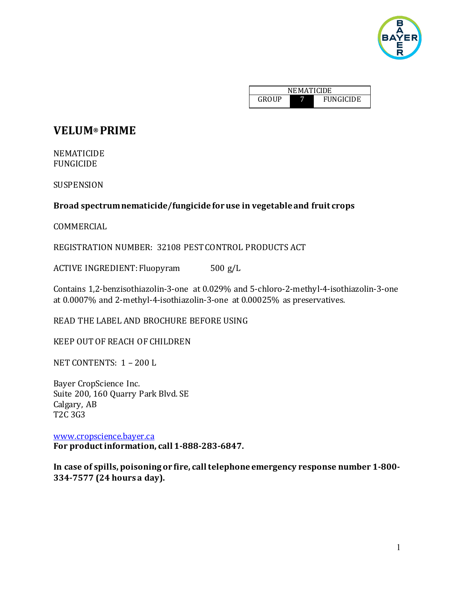

| <b>NEMATICIDE</b> |  |                  |  |
|-------------------|--|------------------|--|
| GROUP             |  | <b>FUNGICIDE</b> |  |

# **VELUM® PRIME**

NEMATICIDE FUNGICIDE

SUSPENSION

## **Broad spectrum nematicide/fungicide for use in vegetable and fruit crops**

COMMERCIAL

REGISTRATION NUMBER: 32108 PESTCONTROL PRODUCTS ACT

ACTIVE INGREDIENT: Fluopyram 500 g/L

Contains 1,2-benzisothiazolin-3-one at 0.029% and 5-chloro-2-methyl-4-isothiazolin-3-one at 0.0007% and 2-methyl-4-isothiazolin-3-one at 0.00025% as preservatives.

READ THE LABEL AND BROCHURE BEFORE USING

KEEP OUTOF REACH OF CHILDREN

NET CONTENTS: 1 – 200 L

Bayer CropScience Inc. Suite 200, 160 Quarry Park Blvd. SE Calgary, AB T2C 3G3

[www.cropscience.bayer.ca](https://www.cropscience.bayer.ca/) **For product information, call 1-888-283-6847.**

**In case of spills, poisoning or fire, call telephone emergency response number 1-800- 334-7577 (24 hours a day).**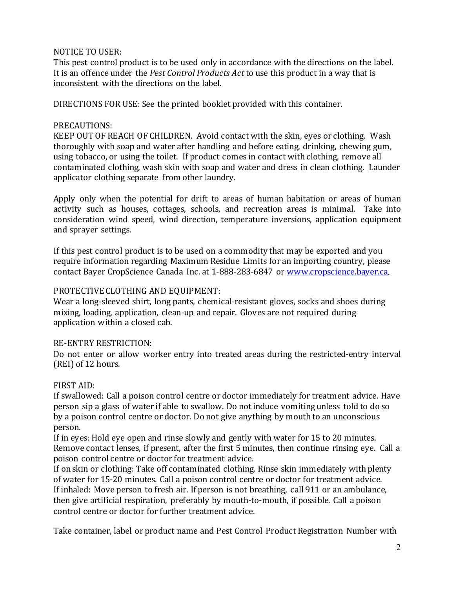## NOTICE TO USER:

This pest control product is to be used only in accordance with the directions on the label. It is an offence under the *Pest Control Products Act* to use this product in a way that is inconsistent with the directions on the label.

DIRECTIONS FOR USE: See the printed booklet provided with this container.

## PRECAUTIONS:

KEEP OUTOF REACH OF CHILDREN. Avoid contact with the skin, eyes or clothing. Wash thoroughly with soap and water after handling and before eating, drinking, chewing gum, using tobacco, or using the toilet. If product comes in contact with clothing, remove all contaminated clothing, wash skin with soap and water and dress in clean clothing. Launder applicator clothing separate from other laundry.

Apply only when the potential for drift to areas of human habitation or areas of human activity such as houses, cottages, schools, and recreation areas is minimal. Take into consideration wind speed, wind direction, temperature inversions, application equipment and sprayer settings.

If this pest control product is to be used on a commodity that may be exported and you require information regarding Maximum Residue Limits for an importing country, please contact Bayer CropScience Canada Inc. at 1-888-283-6847 or [www.cropscience.bayer.ca.](https://www.cropscience.bayer.ca/)

## PROTECTIVE CLOTHING AND EQUIPMENT:

Wear a long-sleeved shirt, long pants, chemical-resistant gloves, socks and shoes during mixing, loading, application, clean-up and repair. Gloves are not required during application within a closed cab.

## RE-ENTRY RESTRICTION:

Do not enter or allow worker entry into treated areas during the restricted-entry interval (REI) of 12 hours.

## FIRST AID:

If swallowed: Call a poison control centre or doctor immediately for treatment advice. Have person sip a glass of water if able to swallow. Do not induce vomiting unless told to do so by a poison control centre or doctor. Do not give anything by mouth to an unconscious person.

If in eyes: Hold eye open and rinse slowly and gently with water for 15 to 20 minutes. Remove contact lenses, if present, after the first 5 minutes, then continue rinsing eye. Call a poison control centre or doctor for treatment advice.

If on skin or clothing: Take off contaminated clothing. Rinse skin immediately with plenty of water for 15-20 minutes. Call a poison control centre or doctor for treatment advice. If inhaled: Move person to fresh air. If person is not breathing, call 911 or an ambulance, then give artificial respiration, preferably by mouth-to-mouth, if possible. Call a poison control centre or doctor for further treatment advice.

Take container, label or product name and Pest Control Product Registration Number with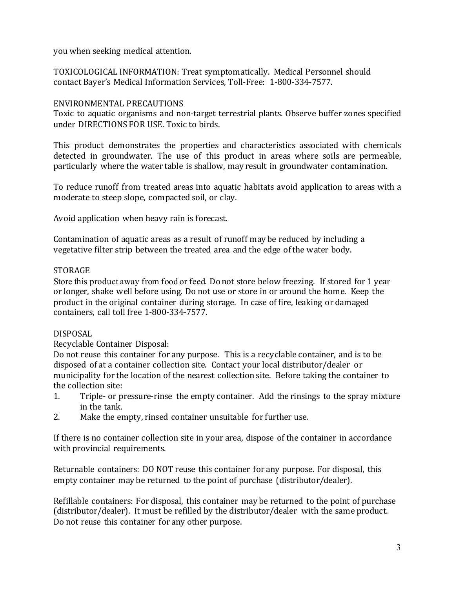you when seeking medical attention.

TOXICOLOGICAL INFORMATION: Treat symptomatically. Medical Personnel should contact Bayer's Medical Information Services, Toll-Free: 1-800-334-7577.

## ENVIRONMENTAL PRECAUTIONS

Toxic to aquatic organisms and non-target terrestrial plants. Observe buffer zones specified under DIRECTIONS FOR USE. Toxic to birds.

This product demonstrates the properties and characteristics associated with chemicals detected in groundwater. The use of this product in areas where soils are permeable, particularly where the water table is shallow, may result in groundwater contamination.

To reduce runoff from treated areas into aquatic habitats avoid application to areas with a moderate to steep slope, compacted soil, or clay.

Avoid application when heavy rain is forecast.

Contamination of aquatic areas as a result of runoff may be reduced by including a vegetative filter strip between the treated area and the edge ofthe water body.

## STORAGE

Store this product away from food or feed. Donot store below freezing. If stored for 1 year or longer, shake well before using. Do not use or store in or around the home. Keep the product in the original container during storage. In case of fire, leaking or damaged containers, call toll free 1-800-334-7577.

## DISPOSAL

Recyclable Container Disposal:

Do not reuse this container for any purpose. This is a recyclable container, and is to be disposed of at a container collection site. Contact your local distributor/dealer or municipality for the location of the nearest collection site. Before taking the container to the collection site:<br>1. Triple- or p.

- Triple- or pressure-rinse the empty container. Add the rinsings to the spray mixture in the tank.
- 2. Make the empty, rinsed container unsuitable for further use.

If there is no container collection site in your area, dispose of the container in accordance with provincial requirements.

Returnable containers: DO NOT reuse this container for any purpose. For disposal, this empty container may be returned to the point of purchase (distributor/dealer).

Refillable containers: For disposal, this container may be returned to the point of purchase (distributor/dealer). It must be refilled by the distributor/dealer with the same product. Do not reuse this container for any other purpose.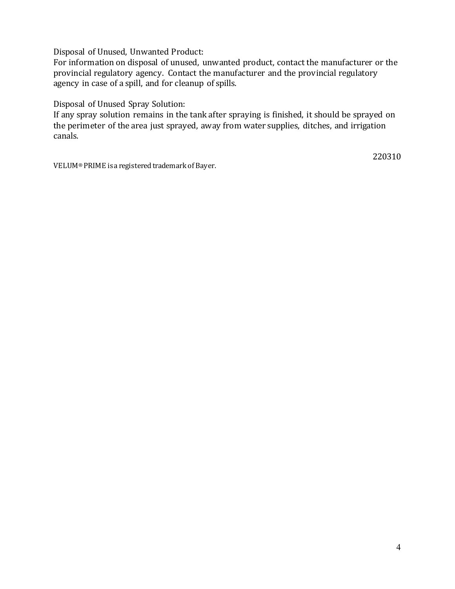Disposal of Unused, Unwanted Product:

For information on disposal of unused, unwanted product, contact the manufacturer or the provincial regulatory agency. Contact the manufacturer and the provincial regulatory agency in case of a spill, and for cleanup of spills.

Disposal of Unused Spray Solution:

If any spray solution remains in the tank after spraying is finished, it should be sprayed on the perimeter of the area just sprayed, away from water supplies, ditches, and irrigation canals.

VELUM® PRIME is a registered trademark of Bayer.

220310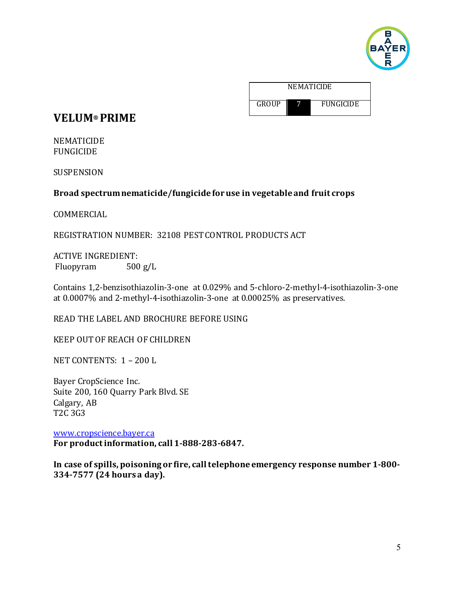

| <b>NEMATICIDE</b> |  |                  |
|-------------------|--|------------------|
| <b>GROUP</b>      |  | <b>FUNGICIDE</b> |

# **VELUM® PRIME**

NEMATICIDE FUNGICIDE

SUSPENSION

## **Broad spectrum nematicide/fungicide for use in vegetable and fruit crops**

COMMERCIAL

REGISTRATION NUMBER: 32108 PESTCONTROL PRODUCTS ACT

ACTIVE INGREDIENT:<br>Fluopyram 500 g/L Fluopyram

Contains 1,2-benzisothiazolin-3-one at 0.029% and 5-chloro-2-methyl-4-isothiazolin-3-one at 0.0007% and 2-methyl-4-isothiazolin-3-one at 0.00025% as preservatives.

READ THE LABEL AND BROCHURE BEFORE USING

KEEP OUTOF REACH OF CHILDREN

NET CONTENTS: 1 – 200 L

Bayer CropScience Inc. Suite 200, 160 Quarry Park Blvd. SE Calgary, AB T2C 3G3

[www.cropscience.bayer.ca](https://www.cropscience.bayer.ca/) **For product information, call 1-888-283-6847.**

**In case of spills, poisoning or fire, call telephone emergency response number 1-800- 334-7577 (24 hours a day).**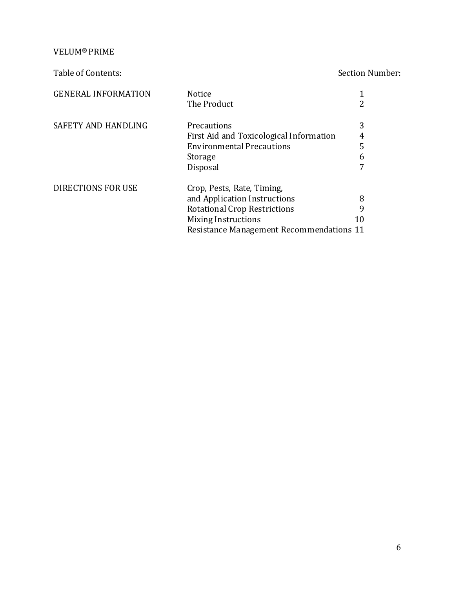VELUM® PRIME

Table of Contents: Section Number:

| <b>GENERAL INFORMATION</b> | <b>Notice</b><br>The Product                                                                                                                                                |              |
|----------------------------|-----------------------------------------------------------------------------------------------------------------------------------------------------------------------------|--------------|
| SAFETY AND HANDLING        | Precautions<br>First Aid and Toxicological Information<br><b>Environmental Precautions</b><br>Storage<br>Disposal                                                           | 3<br>5<br>6  |
| DIRECTIONS FOR USE         | Crop, Pests, Rate, Timing,<br>and Application Instructions<br><b>Rotational Crop Restrictions</b><br>Mixing Instructions<br><b>Resistance Management Recommendations 11</b> | 8<br>9<br>10 |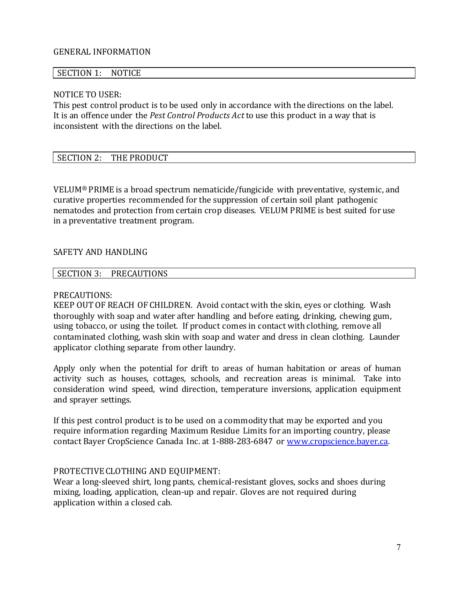## GENERAL INFORMATION

#### SECTION 1: NOTICE

### NOTICE TO USER:

This pest control product is to be used only in accordance with the directions on the label. It is an offence under the *Pest Control Products Act* to use this product in a way that is inconsistent with the directions on the label.

## SECTION 2: THE PRODUCT

VELUM® PRIME is a broad spectrum nematicide/fungicide with preventative, systemic, and curative properties recommended for the suppression of certain soil plant pathogenic nematodes and protection from certain crop diseases. VELUM PRIME is best suited for use in a preventative treatment program.

### SAFETY AND HANDLING

#### SECTION 3: PRECAUTIONS

#### PRECAUTIONS:

KEEP OUTOF REACH OF CHILDREN. Avoid contact with the skin, eyes or clothing. Wash thoroughly with soap and water after handling and before eating, drinking, chewing gum, using tobacco, or using the toilet. If product comes in contact with clothing, remove all contaminated clothing, wash skin with soap and water and dress in clean clothing. Launder applicator clothing separate from other laundry.

Apply only when the potential for drift to areas of human habitation or areas of human activity such as houses, cottages, schools, and recreation areas is minimal. Take into consideration wind speed, wind direction, temperature inversions, application equipment and sprayer settings.

If this pest control product is to be used on a commodity that may be exported and you require information regarding Maximum Residue Limits for an importing country, please contact Bayer CropScience Canada Inc. at 1-888-283-6847 or [www.cropscience.bayer.ca.](https://www.cropscience.bayer.ca/)

#### PROTECTIVE CLOTHING AND EQUIPMENT:

Wear a long-sleeved shirt, long pants, chemical-resistant gloves, socks and shoes during mixing, loading, application, clean-up and repair. Gloves are not required during application within a closed cab.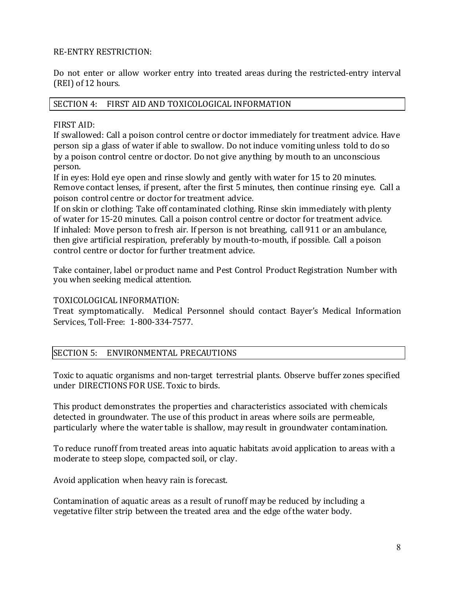## RE-ENTRY RESTRICTION:

Do not enter or allow worker entry into treated areas during the restricted-entry interval (REI) of 12 hours.

## SECTION 4: FIRST AID AND TOXICOLOGICAL INFORMATION

## FIRST AID:

If swallowed: Call a poison control centre or doctor immediately for treatment advice. Have person sip a glass of water if able to swallow. Do not induce vomiting unless told to do so by a poison control centre or doctor. Do not give anything by mouth to an unconscious person.

If in eyes: Hold eye open and rinse slowly and gently with water for 15 to 20 minutes. Remove contact lenses, if present, after the first 5 minutes, then continue rinsing eye. Call a poison control centre or doctor for treatment advice.

If on skin or clothing: Take off contaminated clothing. Rinse skin immediately with plenty of water for 15-20 minutes. Call a poison control centre or doctor for treatment advice. If inhaled: Move person to fresh air. If person is not breathing, call 911 or an ambulance, then give artificial respiration, preferably by mouth-to-mouth, if possible. Call a poison control centre or doctor for further treatment advice.

Take container, label or product name and Pest Control Product Registration Number with you when seeking medical attention.

## TOXICOLOGICAL INFORMATION:

Treat symptomatically. Medical Personnel should contact Bayer's Medical Information Services, Toll-Free: 1-800-334-7577.

## SECTION 5: ENVIRONMENTAL PRECAUTIONS

Toxic to aquatic organisms and non-target terrestrial plants. Observe buffer zones specified under DIRECTIONS FOR USE. Toxic to birds.

This product demonstrates the properties and characteristics associated with chemicals detected in groundwater. The use of this product in areas where soils are permeable, particularly where the water table is shallow, may result in groundwater contamination.

To reduce runoff from treated areas into aquatic habitats avoid application to areas with a moderate to steep slope, compacted soil, or clay.

Avoid application when heavy rain is forecast.

Contamination of aquatic areas as a result of runoff may be reduced by including a vegetative filter strip between the treated area and the edge of the water body.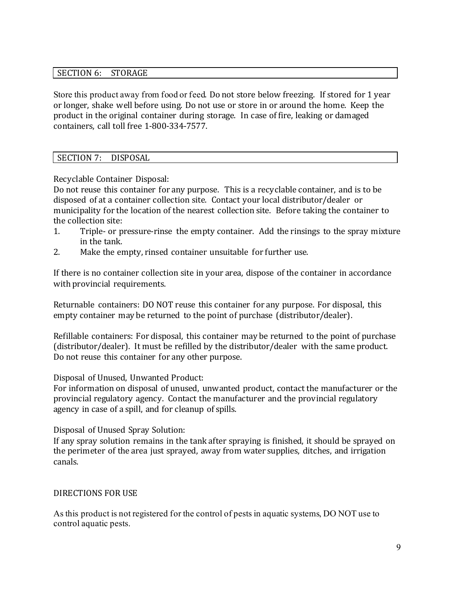## SECTION 6: STORAGE

Store this product away from food or feed. Donot store below freezing. If stored for 1 year or longer, shake well before using. Do not use or store in or around the home. Keep the product in the original container during storage. In case of fire, leaking or damaged containers, call toll free 1-800-334-7577.

## SECTION 7: DISPOSAL

Recyclable Container Disposal:

Do not reuse this container for any purpose. This is a recyclable container, and is to be disposed of at a container collection site. Contact your local distributor/dealer or municipality for the location of the nearest collection site. Before taking the container to the collection site:<br>1. Triple- or p

- Triple- or pressure-rinse the empty container. Add the rinsings to the spray mixture in the tank.
- 2. Make the empty, rinsed container unsuitable for further use.

If there is no container collection site in your area, dispose of the container in accordance with provincial requirements.

Returnable containers: DO NOT reuse this container for any purpose. For disposal, this empty container may be returned to the point of purchase (distributor/dealer).

Refillable containers: For disposal, this container may be returned to the point of purchase (distributor/dealer). It must be refilled by the distributor/dealer with the same product. Do not reuse this container for any other purpose.

Disposal of Unused, Unwanted Product:

For information on disposal of unused, unwanted product, contact the manufacturer or the provincial regulatory agency. Contact the manufacturer and the provincial regulatory agency in case of a spill, and for cleanup of spills.

Disposal of Unused Spray Solution:

If any spray solution remains in the tank after spraying is finished, it should be sprayed on the perimeter of the area just sprayed, away from water supplies, ditches, and irrigation canals.

## DIRECTIONS FOR USE

As this product is not registered for the control of pests in aquatic systems, DO NOT use to control aquatic pests.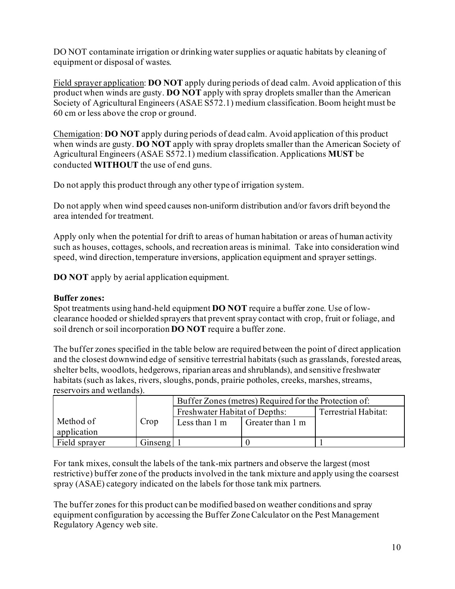DO NOT contaminate irrigation or drinking water supplies or aquatic habitats by cleaning of equipment or disposal of wastes.

Field sprayer application: **DO NOT** apply during periods of dead calm. Avoid application of this product when winds are gusty. **DO NOT** apply with spray droplets smaller than the American Society of Agricultural Engineers (ASAE S572.1) medium classification. Boom height must be 60 cm or less above the crop or ground.

Chemigation: **DO NOT** apply during periods of dead calm. Avoid application of this product when winds are gusty. **DO NOT** apply with spray droplets smaller than the American Society of Agricultural Engineers (ASAE S572.1) medium classification. Applications **MUST** be conducted **WITHOUT** the use of end guns.

Do not apply this product through any other type of irrigation system.

Do not apply when wind speed causes non-uniform distribution and/or favors drift beyond the area intended for treatment.

Apply only when the potential for drift to areas of human habitation or areas of human activity such as houses, cottages, schools, and recreation areas is minimal. Take into consideration wind speed, wind direction, temperature inversions, application equipment and sprayer settings.

**DO NOT** apply by aerial application equipment.

## **Buffer zones:**

Spot treatments using hand-held equipment **DO NOT** require a buffer zone. Use of lowclearance hooded or shielded sprayers that prevent spray contact with crop, fruit or foliage, and soil drench or soil incorporation **DO NOT** require a buffer zone.

The buffer zones specified in the table below are required between the point of direct application and the closest downwind edge of sensitive terrestrial habitats (such as grasslands, forested areas, shelter belts, woodlots, hedgerows, riparian areas and shrublands), and sensitive freshwater habitats (such as lakes, rivers, sloughs, ponds, prairie potholes, creeks, marshes, streams, reservoirs and wetlands).

|               |         | Buffer Zones (metres) Required for the Protection of: |                  |                      |  |
|---------------|---------|-------------------------------------------------------|------------------|----------------------|--|
|               |         | Freshwater Habitat of Depths:                         |                  | Terrestrial Habitat: |  |
| Method of     | Crop    | Less than 1 m                                         | Greater than 1 m |                      |  |
| application   |         |                                                       |                  |                      |  |
| Field sprayer | Ginseng |                                                       |                  |                      |  |

For tank mixes, consult the labels of the tank-mix partners and observe the largest (most restrictive) buffer zone of the products involved in the tank mixture and apply using the coarsest spray (ASAE) category indicated on the labels for those tank mix partners.

The buffer zones for this product can be modified based on weather conditions and spray equipment configuration by accessing the Buffer Zone Calculator on the Pest Management Regulatory Agency web site.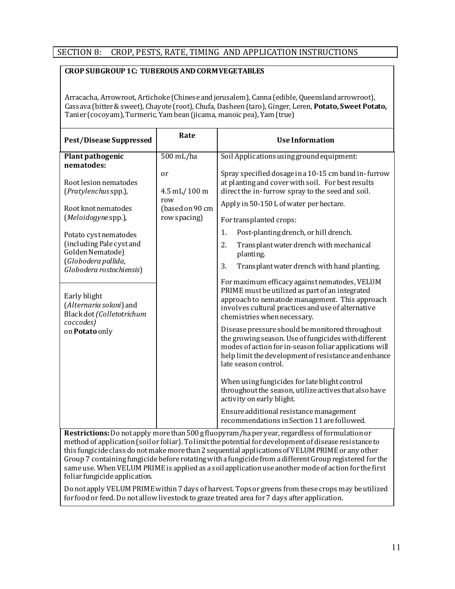## SECTION 8: CROP, PESTS, RATE, TIMING AND APPLICATION INSTRUCTIONS

### **CROP SUBGROUP 1C: TUBEROUS AND CORM VEGETABLES**

Arracacha, Arrowroot, Artichoke (Chinese and jerusalem), Canna (edible, Queensland arrowroot), Cassava (bitter & sweet), Chayote (root), Chufa, Dasheen (taro), Ginger, Leren, **Potato, Sweet Potato,** Tanier (cocoyam), Turmeric, Yam bean (jicama, manoic pea), Yam (true)

| <b>Pest/Disease Suppressed</b>                                                                                                                                                                                                                                                                                                | Rate                                                         | <b>Use Information</b>                                                                                                                                                                                                                                                                                                                                                                                                                                                                                                                                                                                                                                                                                                                                                                                                                                                                                                                                |
|-------------------------------------------------------------------------------------------------------------------------------------------------------------------------------------------------------------------------------------------------------------------------------------------------------------------------------|--------------------------------------------------------------|-------------------------------------------------------------------------------------------------------------------------------------------------------------------------------------------------------------------------------------------------------------------------------------------------------------------------------------------------------------------------------------------------------------------------------------------------------------------------------------------------------------------------------------------------------------------------------------------------------------------------------------------------------------------------------------------------------------------------------------------------------------------------------------------------------------------------------------------------------------------------------------------------------------------------------------------------------|
| Plant pathogenic<br>nematodes:                                                                                                                                                                                                                                                                                                | 500 mL/ha                                                    | Soil Applications using ground equipment:                                                                                                                                                                                                                                                                                                                                                                                                                                                                                                                                                                                                                                                                                                                                                                                                                                                                                                             |
| Root lesion nematodes<br>(Pratylenchus spp.),<br>Root knot nematodes<br>(Meloidogyne spp.),<br>Potato cystnematodes<br>(including Pale cyst and<br>Golden Nematode)<br>(Globodera pallida,<br>Globodera rostochiensis)<br>Early blight<br>(Alternaria solani) and<br>Black dot (Colletotrichum<br>coccodes)<br>on Potato only | or<br>4.5 mL/100 m<br>row<br>(based on 90 cm<br>row spacing) | Spray specified dosage in a 10-15 cm band in-furrow<br>at planting and cover with soil. For best results<br>direct the in-furrow spray to the seed and soil.<br>Apply in 50-150 L of water per hectare.<br>For transplanted crops:<br>Post-planting drench, or hill drench.<br>1.<br>2.<br>Transplant water drench with mechanical<br>planting.<br>3.<br>Transplant water drench with hand planting.<br>For maximum efficacy against nematodes, VELUM<br>PRIME must be utilized as part of an integrated<br>approach to nematode management. This approach<br>involves cultural practices and use of alternative<br>chemistries when necessary.<br>Disease pressure should be monitored throughout<br>the growing season. Use of fungicides with different<br>modes of action for in-season foliar applications will<br>help limit the development of resistance and enhance<br>late season control.<br>When using fungicides for late blight control |
|                                                                                                                                                                                                                                                                                                                               |                                                              | throughout the season, utilize actives that also have<br>activity on early blight.                                                                                                                                                                                                                                                                                                                                                                                                                                                                                                                                                                                                                                                                                                                                                                                                                                                                    |
|                                                                                                                                                                                                                                                                                                                               |                                                              | Ensure additional resistance management<br>recommendations in Section 11 are followed.                                                                                                                                                                                                                                                                                                                                                                                                                                                                                                                                                                                                                                                                                                                                                                                                                                                                |

Restrictions: Do not apply more than 500 g fluopyram/ha per year, regardless of formulation or method of application (soil or foliar). To limit the potential for development of disease resistance to this fungicide class do not make more than 2 sequential applications of VELUM PRIME or any other Group 7 containing fungicide before rotating with a fungicide from a different Group registered for the same use. When VELUM PRIME is applied as a soil application use another mode of action for the first  $\int$  foliar fungicide application.

Do not apply VELUM PRIME within 7 days of harvest. Tops or greens from these crops may be utilized for food or feed. Do not allow livestock to graze treated area for 7 days after application.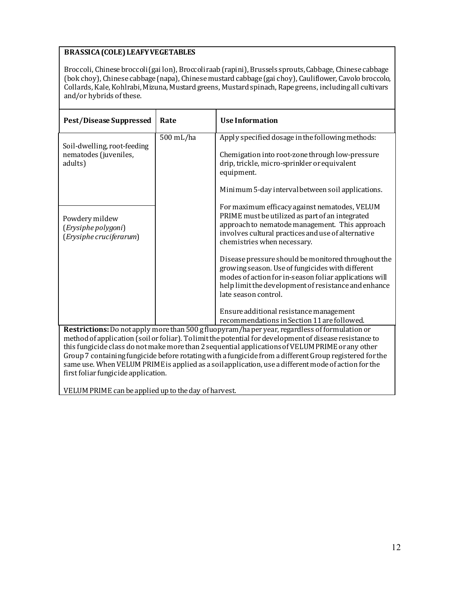## **BRASSICA(COLE) LEAFYVEGETABLES**

Broccoli, Chinese broccoli (gai lon), Broccoli raab (rapini), Brussels sprouts, Cabbage, Chinese cabbage (bok choy), Chinese cabbage (napa), Chinese mustard cabbage (gai choy), Cauliflower, Cavolo broccolo, Collards, Kale, Kohlrabi, Mizuna, Mustard greens, Mustard spinach, Rape greens, includingall cultivars and/or hybrids of these.

| <b>Pest/Disease Suppressed</b>                                   | Rate      | <b>Use Information</b>                                                                                                                                                                                                                            |
|------------------------------------------------------------------|-----------|---------------------------------------------------------------------------------------------------------------------------------------------------------------------------------------------------------------------------------------------------|
|                                                                  | 500 mL/ha | Apply specified dosage in the following methods:                                                                                                                                                                                                  |
| Soil-dwelling, root-feeding<br>nematodes (juveniles,<br>adults)  |           | Chemigation into root-zone through low-pressure<br>drip, trickle, micro-sprinkler or equivalent<br>equipment.                                                                                                                                     |
|                                                                  |           | Minimum 5-day interval between soil applications.                                                                                                                                                                                                 |
| Powdery mildew<br>(Erysiphe polygoni)<br>(Erysiphe cruciferarum) |           | For maximum efficacy against nematodes, VELUM<br>PRIME must be utilized as part of an integrated<br>approach to nematode management. This approach<br>involves cultural practices and use of alternative<br>chemistries when necessary.           |
|                                                                  |           | Disease pressure should be monitored throughout the<br>growing season. Use of fungicides with different<br>modes of action for in-season foliar applications will<br>help limit the development of resistance and enhance<br>late season control. |
|                                                                  |           | Ensure additional resistance management<br>recommendations in Section 11 are followed.                                                                                                                                                            |
|                                                                  |           | Restrictions: Do not apply more than 500 g fluopyram/ha per year, regardless of formulation or<br>method of application (soil or foliar). To limit the potential for development of disease resistance to                                         |
|                                                                  |           | this fungicide class do not make more than 2 sequential applications of VELUM PRIME or any other                                                                                                                                                  |

 $\parallel$  this fungicide class do not make more than 2 sequential applications of VELUM PRIME or any other  $\mid$  Group  $\ell$  containing fungicide before rotating with a fungicide from a different Group registered for the  $\overline{\phantom{a}}$  same use. When <code>VELUM PRIME</code> is applied as a soil application, use a different mode of action for the  $\overline{\phantom{a}}$  $\parallel$  first foliar fungicide application.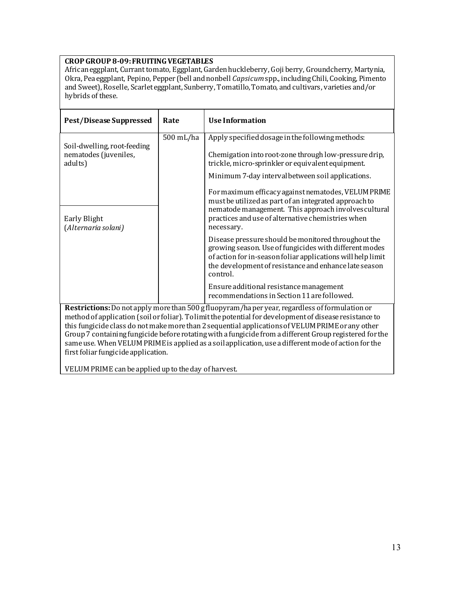#### **CROP GROUP 8-09: FRUITING VEGETABLES**

African eggplant, Currant tomato, Eggplant, Garden huckleberry, Goji berry, Groundcherry, Martynia, Okra, Pea eggplant, Pepino, Pepper (bell and nonbell *Capsicum*spp., including Chili, Cooking, Pimento and Sweet), Roselle, Scarlet eggplant, Sunberry, Tomatillo, Tomato, and cultivars, varieties and/or hybrids of these.

| <b>Pest/Disease Suppressed</b>                                                                                                                                                                                                                                                                                                                                                                                                                                                                                                  | Rate      | <b>Use Information</b>                                                                                                                                                                                                                            |
|---------------------------------------------------------------------------------------------------------------------------------------------------------------------------------------------------------------------------------------------------------------------------------------------------------------------------------------------------------------------------------------------------------------------------------------------------------------------------------------------------------------------------------|-----------|---------------------------------------------------------------------------------------------------------------------------------------------------------------------------------------------------------------------------------------------------|
|                                                                                                                                                                                                                                                                                                                                                                                                                                                                                                                                 | 500 mL/ha | Apply specified dosage in the following methods:                                                                                                                                                                                                  |
| Soil-dwelling, root-feeding<br>nematodes (juveniles,<br>adults)                                                                                                                                                                                                                                                                                                                                                                                                                                                                 |           | Chemigation into root-zone through low-pressure drip,<br>trickle, micro-sprinkler or equivalent equipment.                                                                                                                                        |
|                                                                                                                                                                                                                                                                                                                                                                                                                                                                                                                                 |           | Minimum 7-day interval between soil applications.                                                                                                                                                                                                 |
| Early Blight<br>(Alternaria solani)                                                                                                                                                                                                                                                                                                                                                                                                                                                                                             |           | For maximum efficacy against nematodes, VELUM PRIME<br>must be utilized as part of an integrated approach to<br>nematode management. This approach involves cultural<br>practices and use of alternative chemistries when<br>necessary.           |
|                                                                                                                                                                                                                                                                                                                                                                                                                                                                                                                                 |           | Disease pressure should be monitored throughout the<br>growing season. Use of fungicides with different modes<br>of action for in-season foliar applications will help limit<br>the development of resistance and enhance late season<br>control. |
|                                                                                                                                                                                                                                                                                                                                                                                                                                                                                                                                 |           | Ensure additional resistance management<br>recommendations in Section 11 are followed.                                                                                                                                                            |
| Restrictions: Do not apply more than 500 g fluopyram/ha per year, regardless of formulation or<br>method of application (soil or foliar). To limit the potential for development of disease resistance to<br>this fungicide class do not make more than 2 sequential applications of VELUM PRIME or any other<br>Group 7 containing fungicide before rotating with a fungicide from a different Group registered for the<br>same use. When VELUM PRIME is applied as a soil application, use a different mode of action for the |           |                                                                                                                                                                                                                                                   |

 $\parallel$  first foliar fungicide application.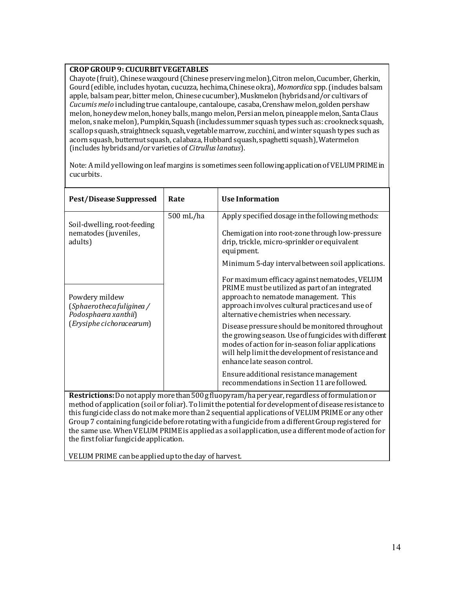### **CROP GROUP 9: CUCURBIT VEGETABLES**

Chayote (fruit), Chinese waxgourd (Chinese preserving melon), Citron melon, Cucumber, Gherkin, Gourd (edible, includes hyotan, cucuzza, hechima, Chinese okra), Momordica spp. (includes balsam apple, balsam pear, bitter melon, Chinese cucumber), Muskmelon (hybrids and/or cultivars of cucumis melo including true cantaloupe, cantaloupe, casaba, Crenshaw melon, golden pershaw melon, honeydew melon, honey balls, mango melon, Persian melon, pineapple melon, Santa Claus | melon, snake melon), Pumpkin, Squash (includes summer squash types such as: crookneck squash,  $\mid$  scallop squash, straightneck squash, vegetable marrow, zucchini, and winter squash types such as acorn squash, butternut squash, calabaza, Hubbard squash, spaghetti squash), Watermelon [includes hybrids and/or varieties of *Citrullus lanatus*].

Note: A mild yellowing on leaf margins is sometimes seen following application of VELUM PRIMEin cucurbits.

| <b>Pest/Disease Suppressed</b>                                     | Rate      | <b>Use Information</b>                                                                                                                                                                                                                            |
|--------------------------------------------------------------------|-----------|---------------------------------------------------------------------------------------------------------------------------------------------------------------------------------------------------------------------------------------------------|
| Soil-dwelling, root-feeding<br>nematodes (juveniles,<br>adults)    | 500 mL/ha | Apply specified dosage in the following methods:<br>Chemigation into root-zone through low-pressure<br>drip, trickle, micro-sprinkler or equivalent<br>equipment.<br>Minimum 5-day interval between soil applications.                            |
| Powdery mildew<br>(Sphaerothecafuliginea /<br>Podosphaera xanthii) |           | For maximum efficacy against nematodes, VELUM<br>PRIME must be utilized as part of an integrated<br>approach to nematode management. This<br>approach involves cultural practices and use of<br>alternative chemistries when necessary.           |
| (Erysiphe cichoracearum)                                           |           | Disease pressure should be monitored throughout<br>the growing season. Use of fungicides with different<br>modes of action for in-season foliar applications<br>will help limit the development of resistance and<br>enhance late season control. |
|                                                                    |           | Ensure additional resistance management<br>recommendations in Section 11 are followed.                                                                                                                                                            |

this fungicide class do not make more than 2 sequential applications of VELUM PRIMEor any other Group 7 containing fungicide before rotating with a fungicide from a different Group registered for  $\parallel$  the same use. When VELUM PRIME is applied as a soil application, use a different mode of action for  $\parallel$  the first foliar fungicide application.  $\parallel$  this fungicide class do not make more than 2 sequential applications of VELUM PRIME or any other  $\Box$  Group 7 containing fungicide before rotating with a fungicide from a different Group registered for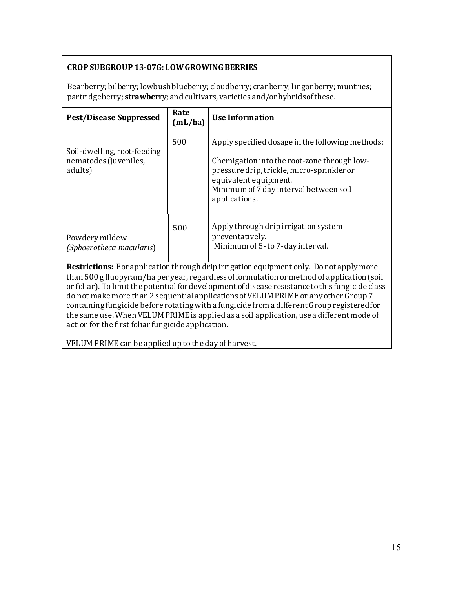## **CROP SUBGROUP 13-07G: LOW GROWING BERRIES**

Bearberry; bilberry; lowbush blueberry; cloudberry; cranberry; lingonberry; muntries; partridgeberry; **strawberry**; and cultivars, varieties and/or hybrids of these.

| <b>Pest/Disease Suppressed</b>                                                                                                                                                                                                                                                                                                                                                          | Rate<br>(mL/ha) | <b>Use Information</b>                                                                                                                                                                                                            |
|-----------------------------------------------------------------------------------------------------------------------------------------------------------------------------------------------------------------------------------------------------------------------------------------------------------------------------------------------------------------------------------------|-----------------|-----------------------------------------------------------------------------------------------------------------------------------------------------------------------------------------------------------------------------------|
| Soil-dwelling, root-feeding<br>nematodes (juveniles,<br>adults)                                                                                                                                                                                                                                                                                                                         | 500             | Apply specified dosage in the following methods:<br>Chemigation into the root-zone through low-<br>pressure drip, trickle, micro-sprinkler or<br>equivalent equipment.<br>Minimum of 7 day interval between soil<br>applications. |
| Powdery mildew<br>(Sphaerotheca macularis)                                                                                                                                                                                                                                                                                                                                              | 500             | Apply through drip irrigation system<br>preventatively.<br>Minimum of 5-to 7-day interval.                                                                                                                                        |
| <b>Restrictions:</b> For application through drip irrigation equipment only. Do not apply more<br>than 500 g fluopyram/ha per year, regardless of formulation or method of application (soil<br>or foliar). To limit the potential for development of disease resistance to this fungicide class<br>do not make more than 2 sequential applications of VELUM PRIME or any other Group 7 |                 |                                                                                                                                                                                                                                   |

 $\frac{1}{\sqrt{1}}$  containing fungicide before rotating with a fungicide from a different Group registered for the same use. When VELUM PRIME is applied as a soil application, use a different mode of action for the first foliar fungicide application.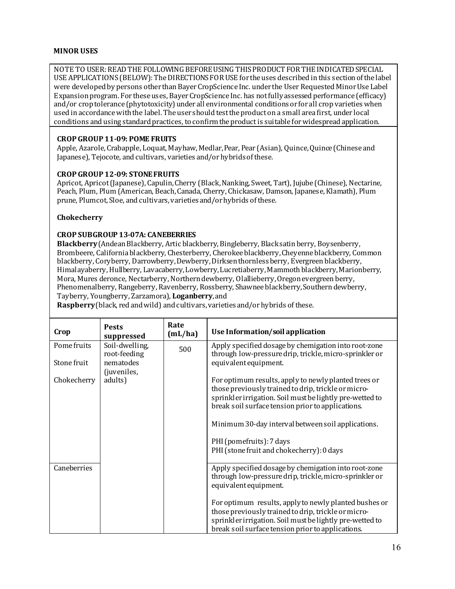#### **MINOR USES**

NOTE TO USER: READ THE FOLLOWING BEFORE USING THIS PRODUCT FOR THE INDICATED SPECIAL USE APPLICATIONS (BELOW): The DIRECTIONS FORUSE for the uses described in this section of the label were developed by persons other than Bayer CropScience Inc. under the User Requested Minor Use Label Expansion program. For these uses, Bayer CropScience Inc. has not fully assessed performance (efficacy) and/or crop tolerance (phytotoxicity) under all environmental conditions or for all crop varieties when used in accordance with the label. The user should test the product on a small area first, under local conditions and using standard practices, to confirm the product is suitable for widespread application.

#### **PEAR (PEAR), PEAR (PEAR), POME FRUITS AND ASSESSED AND ASSESSED AND ASSESSED AT ASSESS** the contract contract contract of the contract of the contract of the contract of the contract of the contract of the contract of the contract of the contract of the contract of the contract of the contract of the contract

Apple, Azarole, Crabapple, Loquat, Mayhaw, Medlar, Pear, Pear (Asian), Quince, Quince (Chinese and these. Japanese), Tejocote, and cultivars, varieties and/or hybrids of these.

# **CROPGROUP 12-09: STONE FRUITS** <p><strong>CROP GROUP 12-09: STONE FRUITS</strong> <p>Apricot, Apricot (Japanese), Capulin, Cherry (Black,

Apricot, Apricot (Japanese), Capulin, Cherry (Black, Nanking, Sweet, Tart), Jujube (Chinese), Nectarine, Peach, Plum, Plum (American, Beach, Canada, Cherry, Chickasaw, Damson, Japanese, Klamath), Plum prune, Plumcot, Sloe, and cultivars, varieties and/or hybrids of these.

## **Chokecherry**

# **CROP SUBGROUP 13-07A: CANEBERRIES** <p><strong>CROP SUBGROUP 13-07A: CANEBERRIES</strong> <p><strong>Blackberry</strong> (Andean Blackberry,

**Blackberry** (Andean Blackberry, Artic blackberry, Bingleberry, Black satin berry, Boysenberry, Brombeere, California blackberry, Chesterberry, Cherokee blackberry, Cheyenne blackberry, Common blackberry, Coryberry, Darrowberry, Dewberry, Dirksen thornless berry, Evergreen blackberry, Himalayaberry, Hullberry, Lavacaberry, Lowberry, Lucretiaberry, Mammoth blackberry, Marionberry, Mora, Mures deronce, Nectarberry, Northern dewberry, Olallieberry, Oregon evergreen berry, Phenomenalberry, Rangeberry, Ravenberry, Rossberry, Shawnee blackberry, Southern dewberry, Tayberry, Youngberry, Zarzamora), Loganberry, and

**Raspberry**(black, red and wild) and cultivars, varieties and/orhybrids of these.

| Crop        | <b>Pests</b><br>suppressed     | Rate<br>(mL/ha) | Use Information/soil application                                                                                                                                                                                              |
|-------------|--------------------------------|-----------------|-------------------------------------------------------------------------------------------------------------------------------------------------------------------------------------------------------------------------------|
| Pome fruits | Soil-dwelling,<br>root-feeding | 500             | Apply specified dosage by chemigation into root-zone<br>through low-pressure drip, trickle, micro-sprinkler or                                                                                                                |
| Stone fruit | nematodes<br>(juveniles,       |                 | equivalent equipment.                                                                                                                                                                                                         |
| Chokecherry | adults)                        |                 | For optimum results, apply to newly planted trees or<br>those previously trained to drip, trickle or micro-<br>sprinkler irrigation. Soil must be lightly pre-wetted to<br>break soil surface tension prior to applications.  |
|             |                                |                 | Minimum 30-day interval between soil applications.                                                                                                                                                                            |
|             |                                |                 | PHI (pomefruits): 7 days<br>PHI (stone fruit and chokecherry): 0 days                                                                                                                                                         |
| Caneberries |                                |                 | Apply specified dosage by chemigation into root-zone<br>through low-pressure drip, trickle, micro-sprinkler or<br>equivalent equipment.                                                                                       |
|             |                                |                 | For optimum results, apply to newly planted bushes or<br>those previously trained to drip, trickle or micro-<br>sprinkler irrigation. Soil must be lightly pre-wetted to<br>break soil surface tension prior to applications. |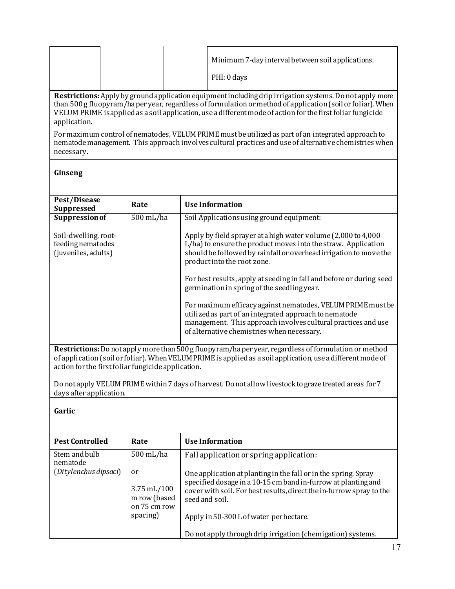|                                                                                                                                                                                                                                                                                                                                                               |  |  | Minimum 7-day interval between soil applications.<br>PHI: 0 days |  |
|---------------------------------------------------------------------------------------------------------------------------------------------------------------------------------------------------------------------------------------------------------------------------------------------------------------------------------------------------------------|--|--|------------------------------------------------------------------|--|
| <b>Restrictions:</b> Apply by ground application equipment including drip irrigation systems. Do not apply more<br>than 500 g fluopyram/ha per year, regardless of formulation or method of application (soil or foliar). When<br>VELUM PRIME is applied as a soil application, use a different mode of action for the first foliar fungicide<br>application. |  |  |                                                                  |  |

For maximum control of nematodes, VELUM PRIMEmust be utilized as part of an integrated approach to nematode management. This approach involves cultural practices and use of alternative chemistries when necessary. For maximum control of nematodes VELUM PRIME must be utilized as nart of a

## **Ginseng**

 $\mathbb{R}^n$  , the contract of  $\mathbb{R}^n$ 

| Pest/Disease<br><b>Suppressed</b>                                                                                                                                                                                                                                          | Rate      | <b>Use Information</b>                                                                                                                                                                                                               |  |  |
|----------------------------------------------------------------------------------------------------------------------------------------------------------------------------------------------------------------------------------------------------------------------------|-----------|--------------------------------------------------------------------------------------------------------------------------------------------------------------------------------------------------------------------------------------|--|--|
| <b>Suppression of</b>                                                                                                                                                                                                                                                      | 500 mL/ha | Soil Applications using ground equipment:                                                                                                                                                                                            |  |  |
| Soil-dwelling, root-<br>feeding nematodes<br>(juveniles, adults)                                                                                                                                                                                                           |           | Apply by field sprayer at a high water volume (2,000 to 4,000<br>L/ha) to ensure the product moves into the straw. Application<br>should be followed by rainfall or overhead irrigation to move the<br>product into the root zone.   |  |  |
|                                                                                                                                                                                                                                                                            |           | For best results, apply at seeding in fall and before or during seed<br>germination in spring of the seedling year.                                                                                                                  |  |  |
|                                                                                                                                                                                                                                                                            |           | For maximum efficacy against nematodes, VELUM PRIME must be<br>utilized as part of an integrated approach to nematode<br>management. This approach involves cultural practices and use<br>of alternative chemistries when necessary. |  |  |
| Restrictions: Do not apply more than 500 g fluopyram/ha per year, regardless of formulation or method<br>of application (soil or foliar). When VELUM PRIME is applied as a soil application, use a different mode of<br>action for the first foliar fungicide application. |           |                                                                                                                                                                                                                                      |  |  |
| days after application.                                                                                                                                                                                                                                                    |           | Do not apply VELUM PRIME within 7 days of harvest. Do not allow livestock to graze treated areas for 7                                                                                                                               |  |  |

**Garlic**  $\mathbb{R}^n$  . The contract of the contract of

| <b>Pest Controlled</b>                             | Rate                                                                       | Use Information                                                                                                                                                                                                                                                       |
|----------------------------------------------------|----------------------------------------------------------------------------|-----------------------------------------------------------------------------------------------------------------------------------------------------------------------------------------------------------------------------------------------------------------------|
| Stem and bulb<br>nematode<br>(Ditylenchus dipsaci) | 500 mL/ha                                                                  | Fall application or spring application:                                                                                                                                                                                                                               |
|                                                    | or<br>$3.75 \,\mathrm{mL}/100$<br>m row (based<br>on 75 cm row<br>spacing) | One application at planting in the fall or in the spring. Spray<br>specified dosage in a 10-15 cm band in-furrow at planting and<br>cover with soil. For best results, direct the in-furrow spray to the<br>seed and soil.<br>Apply in 50-300 L of water per hectare. |
|                                                    |                                                                            | Do not apply through drip irrigation (chemigation) systems.                                                                                                                                                                                                           |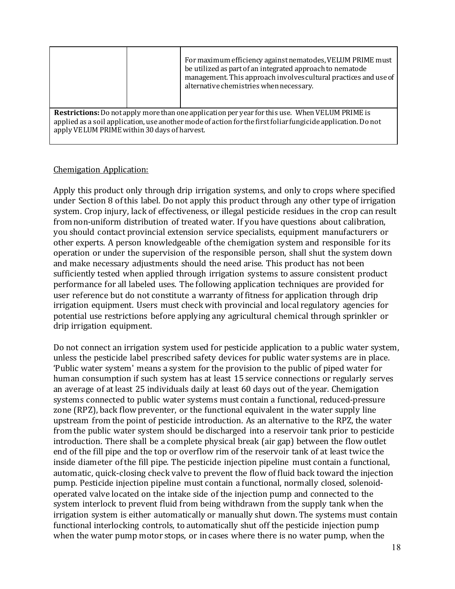|                                                                                                                                                                                                                                                                        |  | For maximum efficiency against nematodes, VELUM PRIME must<br>be utilized as part of an integrated approach to nematode<br>management. This approach involves cultural practices and use of<br>alternative chemistries when necessary. |  |  |
|------------------------------------------------------------------------------------------------------------------------------------------------------------------------------------------------------------------------------------------------------------------------|--|----------------------------------------------------------------------------------------------------------------------------------------------------------------------------------------------------------------------------------------|--|--|
| <b>Restrictions:</b> Do not apply more than one application per year for this use. When VELUM PRIME is<br>applied as a soil application, use another mode of action for the first foliar fungicide application. Do not<br>apply VELUM PRIME within 30 days of harvest. |  |                                                                                                                                                                                                                                        |  |  |

## Chemigation Application:

Apply this product only through drip irrigation systems, and only to crops where specified under Section 8 of this label. Do not apply this product through any other type of irrigation system. Crop injury, lack of effectiveness, or illegal pesticide residues in the crop can result from non-uniform distribution of treated water. If you have questions about calibration, you should contact provincial extension service specialists, equipment manufacturers or other experts. A person knowledgeable ofthe chemigation system and responsible for its operation or under the supervision of the responsible person, shall shut the system down and make necessary adjustments should the need arise. This product has not been sufficiently tested when applied through irrigation systems to assure consistent product performance for all labeled uses. The following application techniques are provided for user reference but do not constitute a warranty of fitness for application through drip irrigation equipment. Users must check with provincial and local regulatory agencies for potential use restrictions before applying any agricultural chemical through sprinkler or drip irrigation equipment.

Do not connect an irrigation system used for pesticide application to a public water system, unless the pesticide label prescribed safety devices for public water systems are in place. 'Public water system' means a system for the provision to the public of piped water for human consumption if such system has at least 15 service connections or regularly serves an average of at least 25 individuals daily at least 60 days out of the year. Chemigation systems connected to public water systems must contain a functional, reduced-pressure zone (RPZ), back flow preventer, or the functional equivalent in the water supply line upstream from the point of pesticide introduction. As an alternative to the RPZ, the water from the public water system should be discharged into a reservoir tank prior to pesticide introduction. There shall be a complete physical break (air gap) between the flow outlet end of the fill pipe and the top or overflow rim of the reservoir tank of at least twice the the contain proposition in the irreduction of the fill pipe. The pesticide injection pipeline must contain a functional, automatic, quick-closing check valve to prevent the flow of fluid back toward the injection pump. Pesticide injection pipeline must contain a functional, normally closed, solenoidoperated valve located on the intake side of the injection pump and connected to the system interlock to prevent fluid from being withdrawn from the supply tank when the irrigation system is either automatically or manually shut down. The systems must contain functional interlocking controls, to automatically shut off the pesticide injection pump when the water pump motor stops, or in cases where there is no water pump, when the serves and a system are a system for the provision to the passie of piped water for to public water systems must contain a functional, reduced-pressure  $\alpha$ ,  $\alpha$  and  $\beta$ ,  $\beta$ inside diameter of the this pipe. The pesticide injection pipeline intercontain a function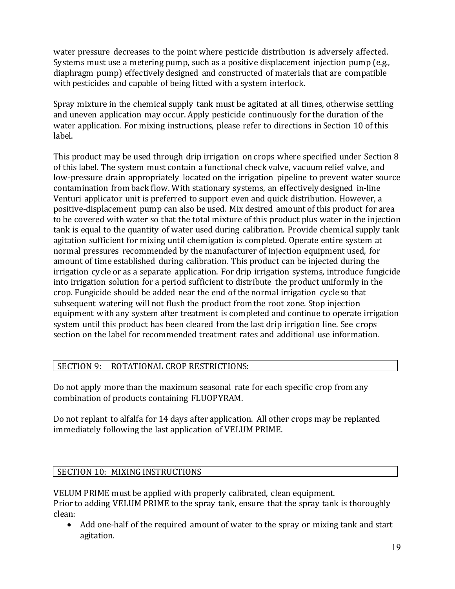water pressure decreases to the point where pesticide distribution is adversely affected. Systems must use a metering pump, such as a positive displacement injection pump (e.g., diaphragm pump) effectively designed and constructed of materials that are compatible with pesticides and capable of being fitted with a system interlock.

Spray mixture in the chemical supply tank must be agitated at all times, otherwise settling and uneven application may occur. Apply pesticide continuously for the duration of the water application. For mixing instructions, please refer to directions in Section 10 of this label.

This product may be used through drip irrigation on crops where specified under Section 8 of this label. The system must contain a functional check valve, vacuum relief valve, and low-pressure drain appropriately located on the irrigation pipeline to prevent water source contamination from back flow. With stationary systems, an effectively designed in-line Venturi applicator unit is preferred to support even and quick distribution. However, a positive-displacement pump can also be used. Mix desired amount of this product for area to be covered with water so that the total mixture ofthis product plus water in the injection tank is equal to the quantity of water used during calibration. Provide chemical supply tank agitation sufficient for mixing until chemigation is completed. Operate entire system at normal pressures recommended by the manufacturer of injection equipment used, for amount of time established during calibration. This product can be injected during the irrigation cycle or as a separate application. For drip irrigation systems, introduce fungicide into irrigation solution for a period sufficient to distribute the product uniformly in the crop. Fungicide should be added near the end of the normal irrigation cycleso that subsequent watering will not flush the product from the root zone. Stop injection equipment with any system after treatment is completed and continue to operate irrigation system until this product has been cleared from the last drip irrigation line. See crops section on the label for recommended treatment rates and additional use information.

## SECTION 9: ROTATIONAL CROP RESTRICTIONS:

Do not apply more than the maximum seasonal rate for each specific crop from any combination of products containing FLUOPYRAM.

Do not replant to alfalfa for 14 days after application. All other crops may be replanted immediately following the last application of VELUM PRIME.

## SECTION 10: MIXING INSTRUCTIONS

VELUM PRIME must be applied with properly calibrated, clean equipment. Prior to adding VELUM PRIME to the spray tank, ensure that the spray tank is thoroughly clean:

• Add one-half of the required amount of water to the spray or mixing tank and start agitation.